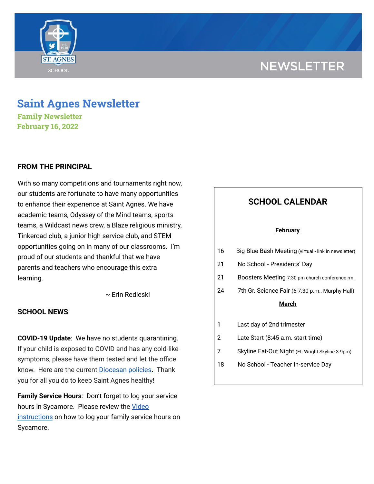# **NEWSLETTER**



## **Saint Agnes Newsletter**

**Family Newsletter February 16, 2022**

#### **FROM THE PRINCIPAL**

With so many competitions and tournaments right now, our students are fortunate to have many opportunities to enhance their experience at Saint Agnes. We have academic teams, Odyssey of the Mind teams, sports teams, a Wildcast news crew, a Blaze religious ministry, Tinkercad club, a junior high service club, and STEM opportunities going on in many of our classrooms. I'm proud of our students and thankful that we have parents and teachers who encourage this extra learning.

~ Erin Redleski

#### **SCHOOL NEWS**

**COVID-19 Update**: We have no students quarantining. If your child is exposed to COVID and has any cold-like symptoms, please have them tested and let the office know. Here are the current [Diocesan](https://school.saintagnes.com/wp-content/uploads/2022/01/COVID-19-School-Requirements-2021-2022-January-Update.pdf) policies**.** Thank you for all you do to keep Saint Agnes healthy!

**Family Service Hours**: Don't forget to log your service hours in Sycamore. Please review the [Video](https://drive.google.com/file/d/1cmYj9N-NF2btSiiG8QdTD20q2RJRpwk7/view?usp=sharing) [instructions](https://drive.google.com/file/d/1cmYj9N-NF2btSiiG8QdTD20q2RJRpwk7/view?usp=sharing) on how to log your family service hours on Sycamore.

|                 | <b>SCHOOL CALENDAR</b>                               |
|-----------------|------------------------------------------------------|
| <u>February</u> |                                                      |
| 16              | Big Blue Bash Meeting (virtual - link in newsletter) |
| 21              | No School - Presidents' Day                          |
| 21              | Boosters Meeting 7:30 pm church conference rm.       |
| 24              | 7th Gr. Science Fair (6-7:30 p.m., Murphy Hall)      |
| March           |                                                      |
| 1               | Last day of 2nd trimester                            |
| 2               | Late Start (8:45 a.m. start time)                    |
| 7               | Skyline Eat-Out Night (Ft. Wright Skyline 3-9pm)     |
| 18              | No School - Teacher In-service Day                   |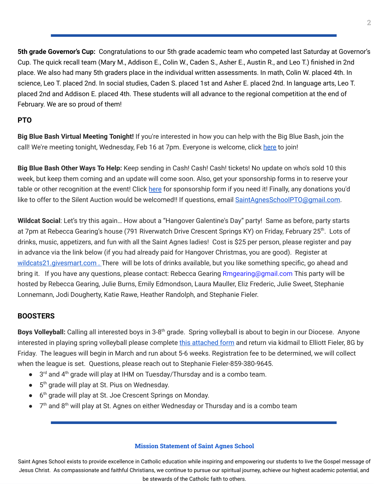**5th grade Governor's Cup:** Congratulations to our 5th grade academic team who competed last Saturday at Governor's Cup. The quick recall team (Mary M., Addison E., Colin W., Caden S., Asher E., Austin R., and Leo T.) finished in 2nd place. We also had many 5th graders place in the individual written assessments. In math, Colin W. placed 4th. In science, Leo T. placed 2nd. In social studies, Caden S. placed 1st and Asher E. placed 2nd. In language arts, Leo T. placed 2nd and Addison E. placed 4th. These students will all advance to the regional competition at the end of February. We are so proud of them!

### **PTO**

**Big Blue Bash Virtual Meeting Tonight!** If you're interested in how you can help with the Big Blue Bash, join the call! We're meeting tonight, Wednesday, Feb 16 at 7pm. Everyone is welcome, click [here](https://meet.google.com/fgj-crqn-pxp) to join!

**Big Blue Bash Other Ways To Help:** Keep sending in Cash! Cash! Cash! tickets! No update on who's sold 10 this week, but keep them coming and an update will come soon. Also, get your sponsorship forms in to reserve your table or other recognition at the event! Click [here](https://www.facebook.com/saintagnesbigbluebash) for sponsorship form if you need it! Finally, any donations you'd like to offer to the Silent Auction would be welcomed!! If questions, email **SaintAgnesSchoolPTO**@gmail.com.

**Wildcat Social**: Let's try this again… How about a "Hangover Galentine's Day" party! Same as before, party starts at 7pm at Rebecca Gearing's house (791 [Riverwatch](https://nam12.safelinks.protection.outlook.com/?url=https%3A%2F%2Fwww.google.com%2Fmaps%2Fsearch%2F791%2BRiverwatch%2BDrive%2BCrescent%2BSprings%2BKY%3Fentry%3Dgmail%26source%3Dg&data=04%7C01%7Crgearing%40chiquita.com%7Ce2ccf9c9e0294c85d04c08d9ebf2d960%7Ca69bd2031c4d48438c1df7d862e8c127%7C0%7C0%7C637800250533878502%7CUnknown%7CTWFpbGZsb3d8eyJWIjoiMC4wLjAwMDAiLCJQIjoiV2luMzIiLCJBTiI6Ik1haWwiLCJXVCI6Mn0%3D%7C3000&sdata=GmiWxeKpxdWyk076gP0ufh%2FkfQArVhc1hLL3kBQKnaA%3D&reserved=0) Drive Crescent Springs KY) on Friday, February 25<sup>th</sup>. Lots of drinks, music, appetizers, and fun with all the Saint Agnes ladies! Cost is \$25 per person, please register and pay in advance via the link below (if you had already paid for Hangover Christmas, you are good). Register at [wildcats21.givesmart.com](http://wildcats21.givesmart.com/). There will be lots of drinks available, but you like something specific, go ahead and bring it. If you have any questions, please contact: Rebecca Gearing Rmgearing@gmail.com This party will be hosted by Rebecca Gearing, Julie Burns, Emily Edmondson, Laura Mauller, Eliz Frederic, Julie Sweet, Stephanie Lonnemann, Jodi Dougherty, Katie Rawe, Heather Randolph, and Stephanie Fieler.

## **BOOSTERS**

Boys Volleyball: Calling all interested boys in 3-8<sup>th</sup> grade. Spring volleyball is about to begin in our Diocese. Anyone interested in playing spring volleyball please complete this [attached](https://school.saintagnes.com/wp-content/uploads/2022/02/volleyball-registration-2022.pdf) form and return via kidmail to Elliott Fieler, 8G by Friday. The leagues will begin in March and run about 5-6 weeks. Registration fee to be determined, we will collect when the league is set. Questions, please reach out to Stephanie Fieler-859-380-9645.

- 3<sup>rd</sup> and 4<sup>th</sup> grade will play at IHM on Tuesday/Thursday and is a combo team.
- 5<sup>th</sup> grade will play at St. Pius on Wednesday.
- 6<sup>th</sup> grade will play at St. Joe Crescent Springs on Monday.
- $\bullet$   $7<sup>th</sup>$  and 8<sup>th</sup> will play at St. Agnes on either Wednesday or Thursday and is a combo team

#### **Mission Statement of Saint Agnes School**

Saint Agnes School exists to provide excellence in Catholic education while inspiring and empowering our students to live the Gospel message of Jesus Christ. As compassionate and faithful Christians, we continue to pursue our spiritual journey, achieve our highest academic potential, and be stewards of the Catholic faith to others.